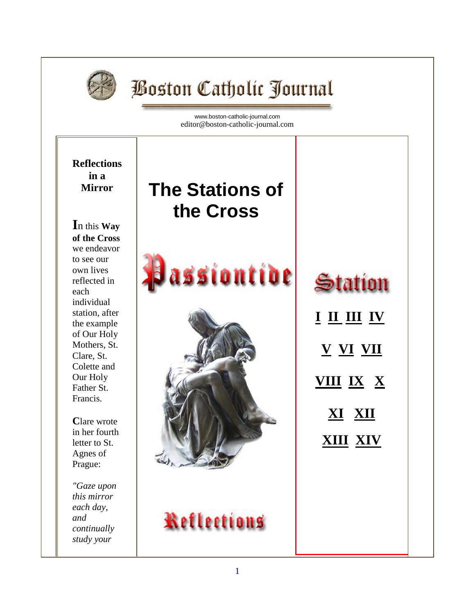

# **Boston Catholic Journal**

[www.boston-catholic-journal.com](http://www.boston-catholic-journal.com/) editor@boston-catholic-journal.com



1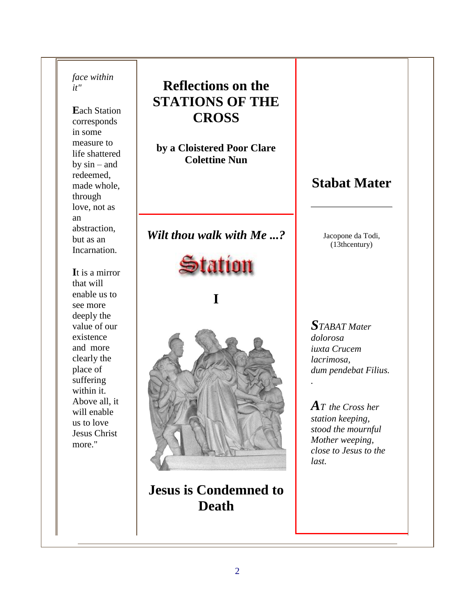*face within it"*

**E**ach Station corresponds in some measure to life shattered by  $sin - and$ redeemed, made whole, through love, not as an abstraction, but as an Incarnation.

**I**t is a mirror that will enable us to see more deeply the value of our existence and more clearly the place of suffering within it. Above all, it will enable us to love Jesus Christ more."

### **Reflections on the STATIONS OF THE CROSS**

**by a Cloistered Poor Clare Colettine Nun**

*Wilt thou walk with Me ...?*



**I**



**Jesus is Condemned to Death**

### **Stabat Mater**

Jacopone da Todi, (13thcentury)

*STABAT Mater dolorosa iuxta Crucem lacrimosa, dum pendebat Filius.* 

*.* 

*A<sup>T</sup> the Cross her station keeping, stood the mournful Mother weeping, close to Jesus to the last.*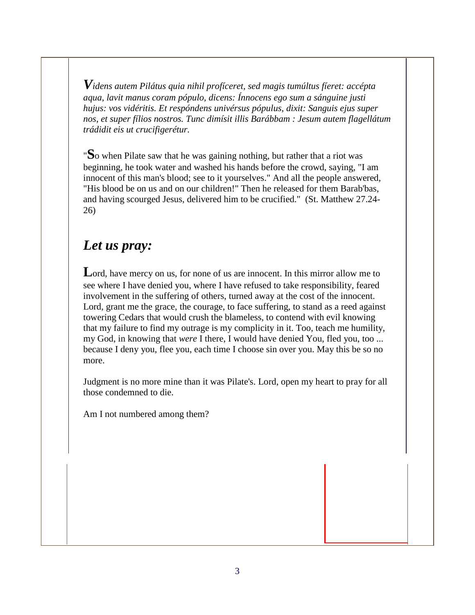*Videns autem Pilátus quia nihil profíceret, sed magis tumúltus fíeret: accépta aqua, lavit manus coram pópulo, dicens: Ínnocens ego sum a sánguine justi hujus: vos vidéritis. Et respóndens univérsus pópulus, dixit: Sanguis ejus super nos, et super fílios nostros. Tunc dimísit illis Barábbam : Jesum autem flagellátum trádidit eis ut crucifigerétur.*

"**S**o when Pilate saw that he was gaining nothing, but rather that a riot was beginning, he took water and washed his hands before the crowd, saying, "I am innocent of this man's blood; see to it yourselves." And all the people answered, "His blood be on us and on our children!" Then he released for them Barab'bas, and having scourged Jesus, delivered him to be crucified." (St. Matthew 27.24- 26)

### *Let us pray:*

Lord, have mercy on us, for none of us are innocent. In this mirror allow me to see where I have denied you, where I have refused to take responsibility, feared involvement in the suffering of others, turned away at the cost of the innocent. Lord, grant me the grace, the courage, to face suffering, to stand as a reed against towering Cedars that would crush the blameless, to contend with evil knowing that my failure to find my outrage is my complicity in it. Too, teach me humility, my God, in knowing that *were* I there, I would have denied You, fled you, too ... because I deny you, flee you, each time I choose sin over you. May this be so no more.

Judgment is no more mine than it was Pilate's. Lord, open my heart to pray for all those condemned to die.

Am I not numbered among them?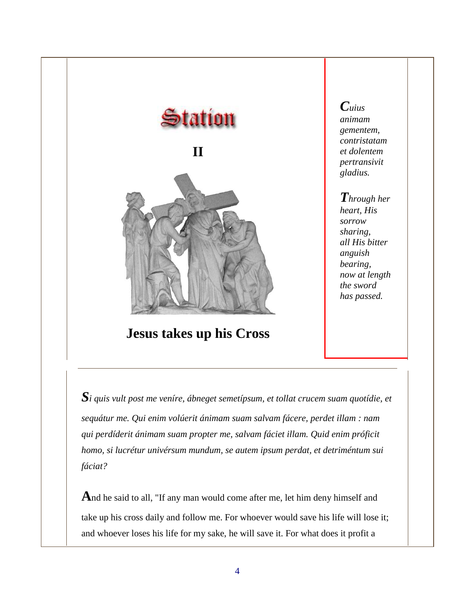

**Jesus takes up his Cross**

*Cuius animam gementem, contristatam et dolentem pertransivit gladius.* 

#### *Through her heart, His sorrow sharing, all His bitter anguish bearing, now at length the sword has passed.*

*Si quis vult post me veníre, ábneget semetípsum, et tollat crucem suam quotídie, et sequátur me. Qui enim volúerit ánimam suam salvam fácere, perdet illam : nam qui perdíderit ánimam suam propter me, salvam fáciet illam. Quid enim próficit homo, si lucrétur univérsum mundum, se autem ipsum perdat, et detriméntum sui fáciat?*

**A**nd he said to all, "If any man would come after me, let him deny himself and take up his cross daily and follow me. For whoever would save his life will lose it; and whoever loses his life for my sake, he will save it. For what does it profit a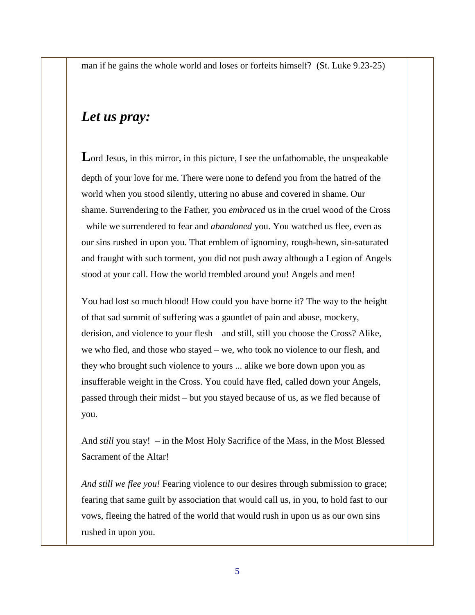man if he gains the whole world and loses or forfeits himself? (St. Luke 9.23-25)

#### *Let us pray:*

Lord Jesus, in this mirror, in this picture, I see the unfathomable, the unspeakable depth of your love for me. There were none to defend you from the hatred of the world when you stood silently, uttering no abuse and covered in shame. Our shame. Surrendering to the Father, you *embraced* us in the cruel wood of the Cross –while we surrendered to fear and *abandoned* you. You watched us flee, even as our sins rushed in upon you. That emblem of ignominy, rough-hewn, sin-saturated and fraught with such torment, you did not push away although a Legion of Angels stood at your call. How the world trembled around you! Angels and men!

You had lost so much blood! How could you have borne it? The way to the height of that sad summit of suffering was a gauntlet of pain and abuse, mockery, derision, and violence to your flesh – and still, still you choose the Cross? Alike, we who fled, and those who stayed – we, who took no violence to our flesh, and they who brought such violence to yours ... alike we bore down upon you as insufferable weight in the Cross. You could have fled, called down your Angels, passed through their midst – but you stayed because of us, as we fled because of you.

And *still* you stay! – in the Most Holy Sacrifice of the Mass, in the Most Blessed Sacrament of the Altar!

*And still we flee you!* Fearing violence to our desires through submission to grace; fearing that same guilt by association that would call us, in you, to hold fast to our vows, fleeing the hatred of the world that would rush in upon us as our own sins rushed in upon you.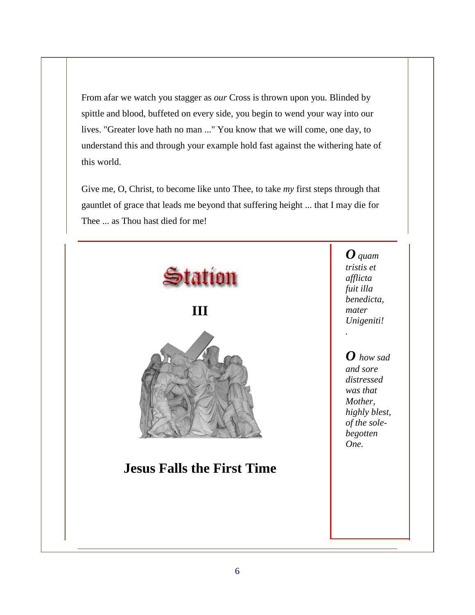From afar we watch you stagger as *our* Cross is thrown upon you. Blinded by spittle and blood, buffeted on every side, you begin to wend your way into our lives. "Greater love hath no man ..." You know that we will come, one day, to understand this and through your example hold fast against the withering hate of this world.

Give me, O, Christ, to become like unto Thee, to take *my* first steps through that gauntlet of grace that leads me beyond that suffering height ... that I may die for Thee ... as Thou hast died for me!



*O quam tristis et afflicta fuit illa benedicta, mater Unigeniti!* 

*.* 

*O how sad and sore distressed was that Mother, highly blest, of the solebegotten One.*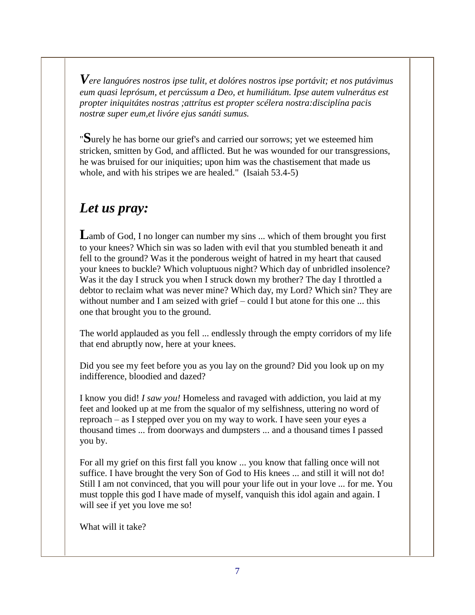*Vere languóres nostros ipse tulit, et dolóres nostros ipse portávit; et nos putávimus eum quasi leprósum, et percússum a Deo, et humiliátum. Ipse autem vulnerátus est propter iniquitátes nostras ;attrítus est propter scélera nostra:disciplína pacis nostræ super eum,et livóre ejus sanáti sumus.*

"**S**urely he has borne our grief's and carried our sorrows; yet we esteemed him stricken, smitten by God, and afflicted. But he was wounded for our transgressions, he was bruised for our iniquities; upon him was the chastisement that made us whole, and with his stripes we are healed." (Isaiah 53.4-5)

### *Let us pray:*

Lamb of God, I no longer can number my sins ... which of them brought you first to your knees? Which sin was so laden with evil that you stumbled beneath it and fell to the ground? Was it the ponderous weight of hatred in my heart that caused your knees to buckle? Which voluptuous night? Which day of unbridled insolence? Was it the day I struck you when I struck down my brother? The day I throttled a debtor to reclaim what was never mine? Which day, my Lord? Which sin? They are without number and I am seized with grief – could I but atone for this one ... this one that brought you to the ground.

The world applauded as you fell ... endlessly through the empty corridors of my life that end abruptly now, here at your knees.

Did you see my feet before you as you lay on the ground? Did you look up on my indifference, bloodied and dazed?

I know you did! *I saw you!* Homeless and ravaged with addiction, you laid at my feet and looked up at me from the squalor of my selfishness, uttering no word of reproach – as I stepped over you on my way to work. I have seen your eyes a thousand times ... from doorways and dumpsters ... and a thousand times I passed you by.

For all my grief on this first fall you know ... you know that falling once will not suffice. I have brought the very Son of God to His knees ... and still it will not do! Still I am not convinced, that you will pour your life out in your love ... for me. You must topple this god I have made of myself, vanquish this idol again and again. I will see if yet you love me so!

What will it take?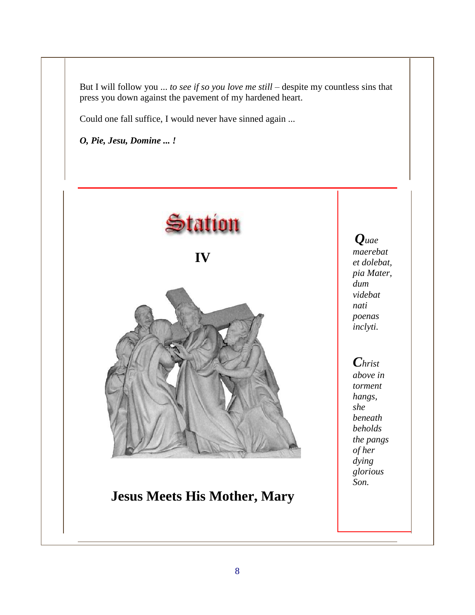But I will follow you ... *to see if so you love me still* – despite my countless sins that press you down against the pavement of my hardened heart.

Could one fall suffice, I would never have sinned again ...

*O, Pie, Jesu, Domine ... !*



*Quae maerebat et dolebat, pia Mater, dum videbat nati poenas inclyti.* 

*Christ above in torment hangs, she beneath beholds the pangs of her dying glorious Son.*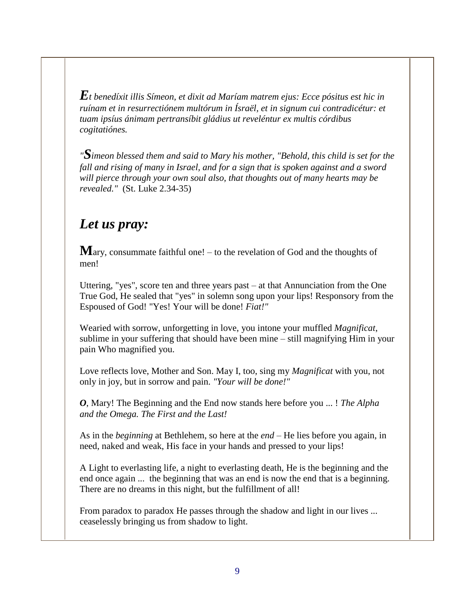$\bm{E}$ t benedíxit illis Símeon, et dixit ad Maríam matrem ejus: Ecce pósitus est hic in *ruínam et in resurrectiónem multórum in Ísraël, et in signum cui contradicétur: et tuam ipsíus ánimam pertransíbit gládius ut reveléntur ex multis córdibus cogitatiónes.*

*"Simeon blessed them and said to Mary his mother, "Behold, this child is set for the fall and rising of many in Israel, and for a sign that is spoken against and a sword will pierce through your own soul also, that thoughts out of many hearts may be revealed."* (St. Luke 2.34-35)

### *Let us pray:*

**M**ary, consummate faithful one! – to the revelation of God and the thoughts of men!

Uttering, "yes", score ten and three years past – at that Annunciation from the One True God, He sealed that "yes" in solemn song upon your lips! Responsory from the Espoused of God! "Yes! Your will be done! *Fiat!"*

Wearied with sorrow, unforgetting in love, you intone your muffled *Magnificat*, sublime in your suffering that should have been mine – still magnifying Him in your pain Who magnified you.

Love reflects love, Mother and Son. May I, too, sing my *Magnificat* with you, not only in joy, but in sorrow and pain. *"Your will be done!"*

*O*, Mary! The Beginning and the End now stands here before you ... ! *The Alpha and the Omega. The First and the Last!*

As in the *beginning* at Bethlehem, so here at the *end* – He lies before you again, in need, naked and weak, His face in your hands and pressed to your lips!

A Light to everlasting life, a night to everlasting death, He is the beginning and the end once again ... the beginning that was an end is now the end that is a beginning. There are no dreams in this night, but the fulfillment of all!

From paradox to paradox He passes through the shadow and light in our lives ... ceaselessly bringing us from shadow to light.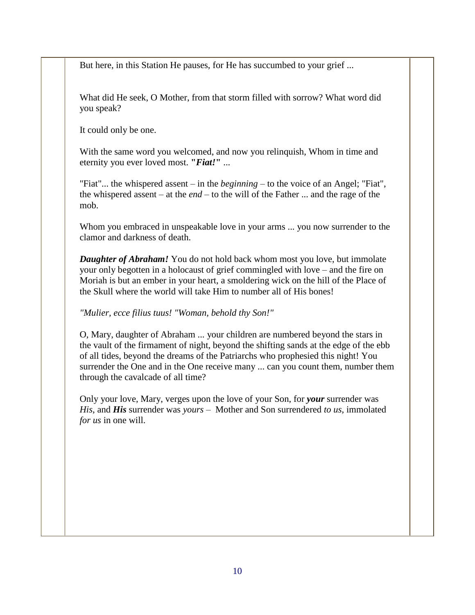But here, in this Station He pauses, for He has succumbed to your grief ...

What did He seek, O Mother, from that storm filled with sorrow? What word did you speak?

It could only be one.

With the same word you welcomed, and now you relinquish, Whom in time and eternity you ever loved most. **"***Fiat!***"** ...

"Fiat"... the whispered assent – in the *beginning* – to the voice of an Angel; "Fiat", the whispered assent – at the *end* – to the will of the Father ... and the rage of the mob.

Whom you embraced in unspeakable love in your arms ... you now surrender to the clamor and darkness of death.

*Daughter of Abraham!* You do not hold back whom most you love, but immolate your only begotten in a holocaust of grief commingled with love – and the fire on Moriah is but an ember in your heart, a smoldering wick on the hill of the Place of the Skull where the world will take Him to number all of His bones!

*"Mulier, ecce filius tuus! "Woman, behold thy Son!"*

O, Mary, daughter of Abraham ... your children are numbered beyond the stars in the vault of the firmament of night, beyond the shifting sands at the edge of the ebb of all tides, beyond the dreams of the Patriarchs who prophesied this night! You surrender the One and in the One receive many ... can you count them, number them through the cavalcade of all time?

Only your love, Mary, verges upon the love of your Son, for *your* surrender was *His*, and *His* surrender was *yours* – Mother and Son surrendered *to us*, immolated *for us* in one will.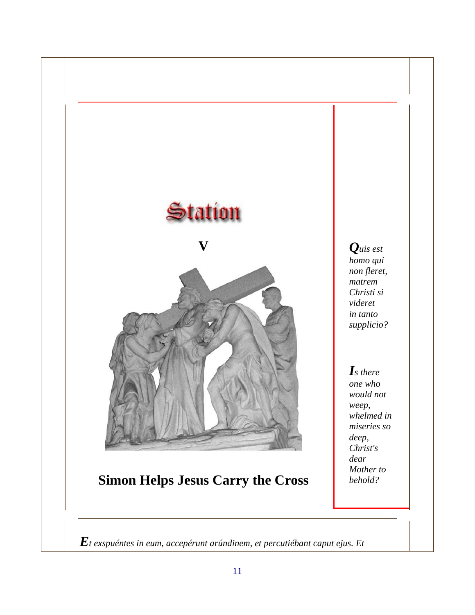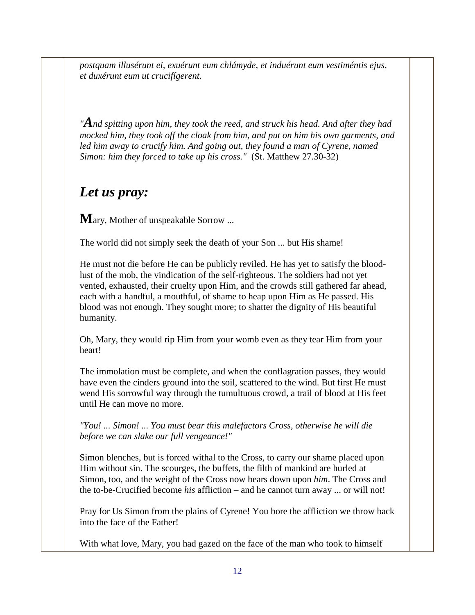*postquam illusérunt ei, exuérunt eum chlámyde, et induérunt eum vestiméntis ejus, et duxérunt eum ut crucifígerent.*

*"And spitting upon him, they took the reed, and struck his head. And after they had mocked him, they took off the cloak from him, and put on him his own garments, and*  led him away to crucify him. And going out, they found a man of Cyrene, named *Simon: him they forced to take up his cross."* (St. Matthew 27.30-32)

### *Let us pray:*

**M**ary, Mother of unspeakable Sorrow ...

The world did not simply seek the death of your Son ... but His shame!

He must not die before He can be publicly reviled. He has yet to satisfy the bloodlust of the mob, the vindication of the self-righteous. The soldiers had not yet vented, exhausted, their cruelty upon Him, and the crowds still gathered far ahead, each with a handful, a mouthful, of shame to heap upon Him as He passed. His blood was not enough. They sought more; to shatter the dignity of His beautiful humanity.

Oh, Mary, they would rip Him from your womb even as they tear Him from your heart!

The immolation must be complete, and when the conflagration passes, they would have even the cinders ground into the soil, scattered to the wind. But first He must wend His sorrowful way through the tumultuous crowd, a trail of blood at His feet until He can move no more.

*"You! ... Simon! ... You must bear this malefactors Cross, otherwise he will die before we can slake our full vengeance!"*

Simon blenches, but is forced withal to the Cross, to carry our shame placed upon Him without sin. The scourges, the buffets, the filth of mankind are hurled at Simon, too, and the weight of the Cross now bears down upon *him*. The Cross and the to-be-Crucified become *his* affliction – and he cannot turn away ... or will not!

Pray for Us Simon from the plains of Cyrene! You bore the affliction we throw back into the face of the Father!

With what love, Mary, you had gazed on the face of the man who took to himself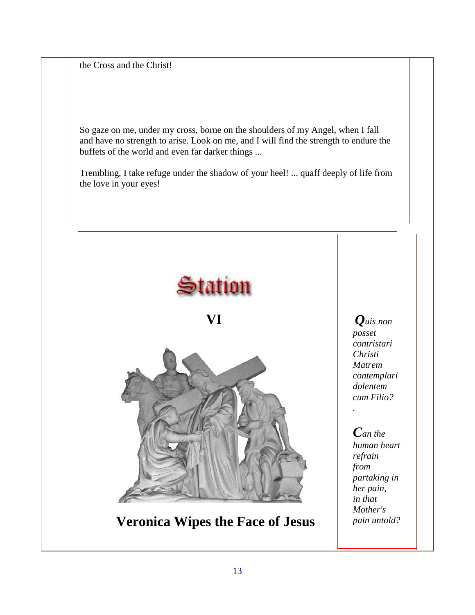the Cross and the Christ!

So gaze on me, under my cross, borne on the shoulders of my Angel, when I fall and have no strength to arise. Look on me, and I will find the strength to endure the buffets of the world and even far darker things ...

Trembling, I take refuge under the shadow of your heel! ... quaff deeply of life from the love in your eyes!



**Veronica Wipes the Face of Jesus**

*Quis non posset contristari Christi Matrem contemplari dolentem cum Filio?* 

#### *Can the human heart refrain from partaking in her pain, in that Mother's pain untold?*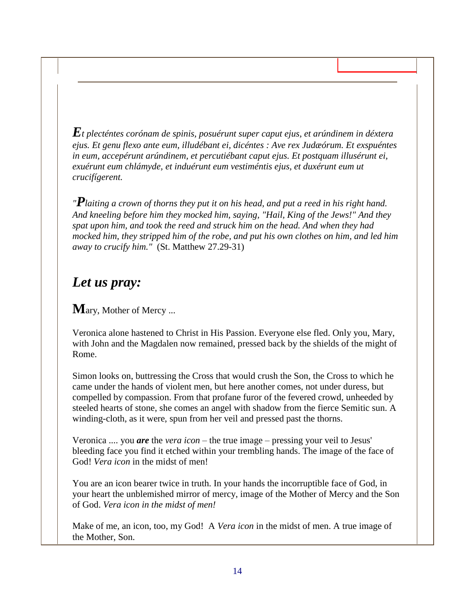*Et plecténtes corónam de spinis, posuérunt super caput ejus, et arúndinem in déxtera ejus. Et genu flexo ante eum, illudébant ei, dicéntes : Ave rex Judæórum. Et exspuéntes in eum, accepérunt arúndinem, et percutiébant caput ejus. Et postquam illusérunt ei, exuérunt eum chlámyde, et induérunt eum vestiméntis ejus, et duxérunt eum ut crucifígerent.*

*"Plaiting a crown of thorns they put it on his head, and put a reed in his right hand. And kneeling before him they mocked him, saying, "Hail, King of the Jews!" And they spat upon him, and took the reed and struck him on the head. And when they had mocked him, they stripped him of the robe, and put his own clothes on him, and led him away to crucify him."* (St. Matthew 27.29-31)

#### *Let us pray:*

**M**ary, Mother of Mercy ...

Veronica alone hastened to Christ in His Passion. Everyone else fled. Only you, Mary, with John and the Magdalen now remained, pressed back by the shields of the might of Rome.

Simon looks on, buttressing the Cross that would crush the Son, the Cross to which he came under the hands of violent men, but here another comes, not under duress, but compelled by compassion. From that profane furor of the fevered crowd, unheeded by steeled hearts of stone, she comes an angel with shadow from the fierce Semitic sun. A winding-cloth, as it were, spun from her veil and pressed past the thorns.

Veronica .... you *are* the *vera icon* – the true image – pressing your veil to Jesus' bleeding face you find it etched within your trembling hands. The image of the face of God! *Vera icon* in the midst of men!

You are an icon bearer twice in truth. In your hands the incorruptible face of God, in your heart the unblemished mirror of mercy, image of the Mother of Mercy and the Son of God. *Vera icon in the midst of men!*

Make of me, an icon, too, my God! A *Vera icon* in the midst of men. A true image of the Mother, Son.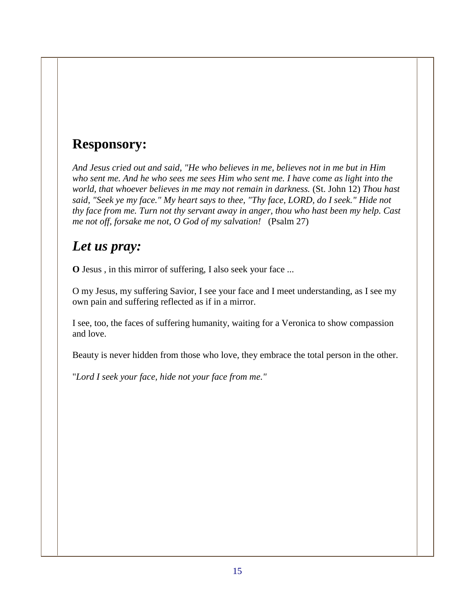### **Responsory:**

*And Jesus cried out and said, "He who believes in me, believes not in me but in Him who sent me. And he who sees me sees Him who sent me. I have come as light into the world, that whoever believes in me may not remain in darkness.* (St. John 12) *Thou hast said, "Seek ye my face." My heart says to thee, "Thy face, LORD, do I seek." Hide not thy face from me. Turn not thy servant away in anger, thou who hast been my help. Cast me not off, forsake me not, O God of my salvation!* (Psalm 27)

#### *Let us pray:*

**O** Jesus , in this mirror of suffering, I also seek your face ...

O my Jesus, my suffering Savior, I see your face and I meet understanding, as I see my own pain and suffering reflected as if in a mirror.

I see, too, the faces of suffering humanity, waiting for a Veronica to show compassion and love.

Beauty is never hidden from those who love, they embrace the total person in the other.

"*Lord I seek your face, hide not your face from me."*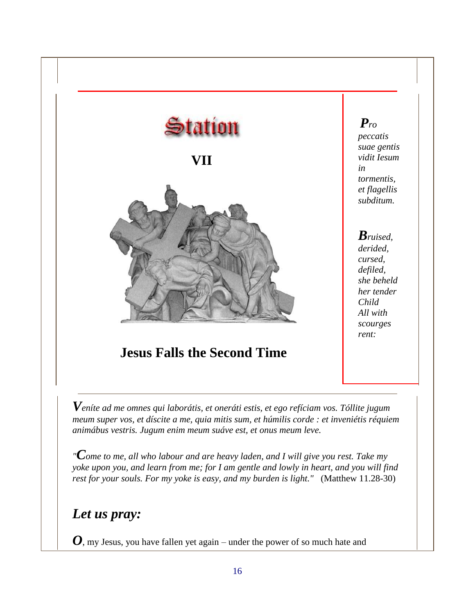

*animábus vestris. Jugum enim meum suáve est, et onus meum leve.*

*"Come to me, all who labour and are heavy laden, and I will give you rest. Take my yoke upon you, and learn from me; for I am gentle and lowly in heart, and you will find rest for your souls. For my yoke is easy, and my burden is light."* (Matthew 11.28-30)

### *Let us pray:*

*O*, my Jesus, you have fallen yet again – under the power of so much hate and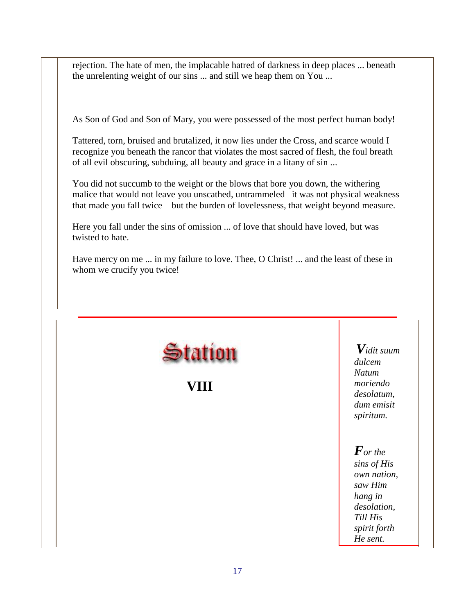rejection. The hate of men, the implacable hatred of darkness in deep places ... beneath the unrelenting weight of our sins ... and still we heap them on You ...

As Son of God and Son of Mary, you were possessed of the most perfect human body!

Tattered, torn, bruised and brutalized, it now lies under the Cross, and scarce would I recognize you beneath the rancor that violates the most sacred of flesh, the foul breath of all evil obscuring, subduing, all beauty and grace in a litany of sin ...

You did not succumb to the weight or the blows that bore you down, the withering malice that would not leave you unscathed, untrammeled –it was not physical weakness that made you fall twice – but the burden of lovelessness, that weight beyond measure.

Here you fall under the sins of omission ... of love that should have loved, but was twisted to hate.

Have mercy on me ... in my failure to love. Thee, O Christ! ... and the least of these in whom we crucify you twice!

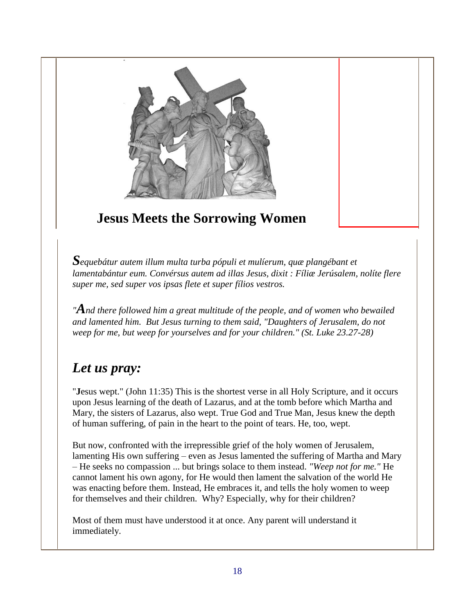

## **Jesus Meets the Sorrowing Women**

*Sequebátur autem illum multa turba pópuli et mulíerum, quæ plangébant et lamentabántur eum. Convérsus autem ad illas Jesus, dixit : Fíliæ Jerúsalem, nolíte flere super me, sed super vos ipsas flete et super fílios vestros.* 

*"And there followed him a great multitude of the people, and of women who bewailed and lamented him. But Jesus turning to them said, "Daughters of Jerusalem, do not weep for me, but weep for yourselves and for your children." (St. Luke 23.27-28)*

### *Let us pray:*

"**J**esus wept." (John 11:35) This is the shortest verse in all Holy Scripture, and it occurs upon Jesus learning of the death of Lazarus, and at the tomb before which Martha and Mary, the sisters of Lazarus, also wept. True God and True Man, Jesus knew the depth of human suffering, of pain in the heart to the point of tears. He, too, wept.

But now, confronted with the irrepressible grief of the holy women of Jerusalem, lamenting His own suffering – even as Jesus lamented the suffering of Martha and Mary – He seeks no compassion ... but brings solace to them instead. *"Weep not for me."* He cannot lament his own agony, for He would then lament the salvation of the world He was enacting before them. Instead, He embraces it, and tells the holy women to weep for themselves and their children. Why? Especially, why for their children?

Most of them must have understood it at once. Any parent will understand it immediately.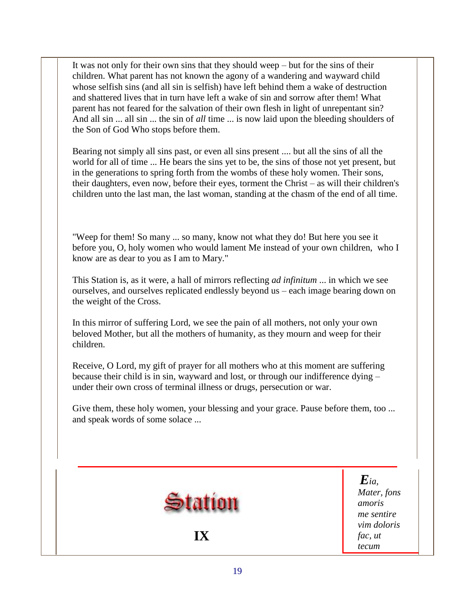It was not only for their own sins that they should weep – but for the sins of their children. What parent has not known the agony of a wandering and wayward child whose selfish sins (and all sin is selfish) have left behind them a wake of destruction and shattered lives that in turn have left a wake of sin and sorrow after them! What parent has not feared for the salvation of their own flesh in light of unrepentant sin? And all sin ... all sin ... the sin of *all* time ... is now laid upon the bleeding shoulders of the Son of God Who stops before them.

Bearing not simply all sins past, or even all sins present .... but all the sins of all the world for all of time ... He bears the sins yet to be, the sins of those not yet present, but in the generations to spring forth from the wombs of these holy women. Their sons, their daughters, even now, before their eyes, torment the Christ – as will their children's children unto the last man, the last woman, standing at the chasm of the end of all time.

"Weep for them! So many ... so many, know not what they do! But here you see it before you, O, holy women who would lament Me instead of your own children, who I know are as dear to you as I am to Mary."

This Station is, as it were, a hall of mirrors reflecting *ad infinitum* ... in which we see ourselves, and ourselves replicated endlessly beyond us – each image bearing down on the weight of the Cross.

In this mirror of suffering Lord, we see the pain of all mothers, not only your own beloved Mother, but all the mothers of humanity, as they mourn and weep for their children.

Receive, O Lord, my gift of prayer for all mothers who at this moment are suffering because their child is in sin, wayward and lost, or through our indifference dying – under their own cross of terminal illness or drugs, persecution or war.

Give them, these holy women, your blessing and your grace. Pause before them, too ... and speak words of some solace ...

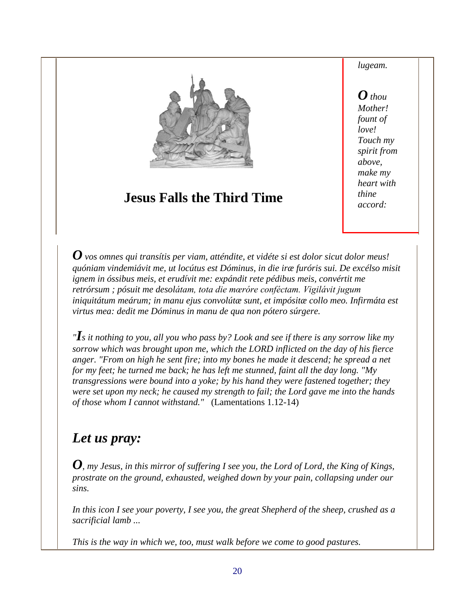

### **Jesus Falls the Third Time**

*lugeam.* 

*O thou Mother! fount of love! Touch my spirit from above, make my heart with thine accord:* 

*O vos omnes qui transítis per viam, atténdite, et vidéte si est dolor sicut dolor meus! quóniam vindemiávit me, ut locútus est Dóminus, in die iræ furóris sui. De excélso misit ignem in óssibus meis, et erudívit me: expándit rete pédibus meis, convértit me retrórsum ; pósuit me desolátam, tota die mœróre conféctam. Vigilávit jugum iniquitátum meárum; in manu ejus convolútæ sunt, et impósitæ collo meo. Infirmáta est virtus mea: dedit me Dóminus in manu de qua non pótero súrgere.* 

*"Is it nothing to you, all you who pass by? Look and see if there is any sorrow like my sorrow which was brought upon me, which the LORD inflicted on the day of his fierce anger. "From on high he sent fire; into my bones he made it descend; he spread a net for my feet; he turned me back; he has left me stunned, faint all the day long. "My transgressions were bound into a yoke; by his hand they were fastened together; they were set upon my neck; he caused my strength to fail; the Lord gave me into the hands of those whom I cannot withstand."* (Lamentations 1.12-14)

### *Let us pray:*

*O*, *my Jesus, in this mirror of suffering I see you, the Lord of Lord, the King of Kings, prostrate on the ground, exhausted, weighed down by your pain, collapsing under our sins.* 

*In this icon I see your poverty, I see you, the great Shepherd of the sheep, crushed as a sacrificial lamb ...*

*This is the way in which we, too, must walk before we come to good pastures.*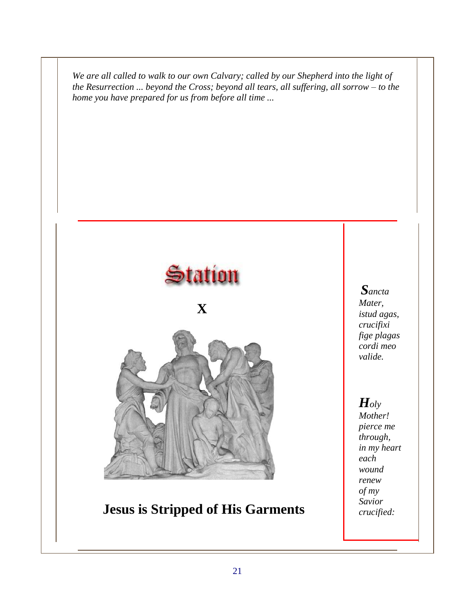*We are all called to walk to our own Calvary; called by our Shepherd into the light of the Resurrection ... beyond the Cross; beyond all tears, all suffering, all sorrow – to the home you have prepared for us from before all time ...*



### **Jesus is Stripped of His Garments**

*Sancta Mater, istud agas, crucifixi fige plagas cordi meo valide.* 

# *Holy*

*Mother! pierce me through, in my heart each wound renew of my Savior crucified:*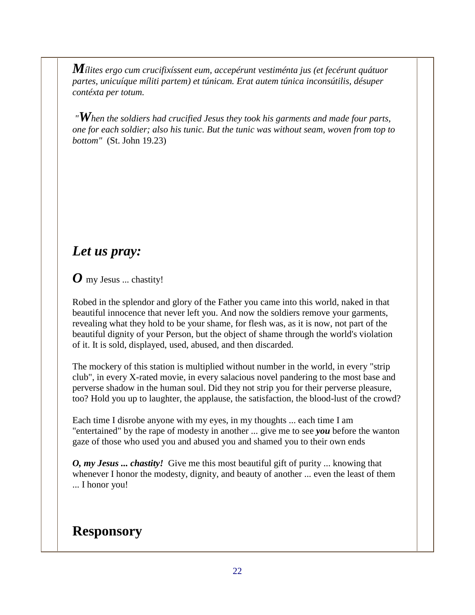*Mílites ergo cum crucifixíssent eum, accepérunt vestiménta jus (et fecérunt quátuor partes, unicuíque míliti partem) et túnicam. Erat autem túnica inconsútilis, désuper contéxta per totum.*

*"When the soldiers had crucified Jesus they took his garments and made four parts, one for each soldier; also his tunic. But the tunic was without seam, woven from top to bottom"* (St. John 19.23)

### *Let us pray:*

*O* my Jesus ... chastity!

Robed in the splendor and glory of the Father you came into this world, naked in that beautiful innocence that never left you. And now the soldiers remove your garments, revealing what they hold to be your shame, for flesh was, as it is now, not part of the beautiful dignity of your Person, but the object of shame through the world's violation of it. It is sold, displayed, used, abused, and then discarded.

The mockery of this station is multiplied without number in the world, in every "strip club", in every X-rated movie, in every salacious novel pandering to the most base and perverse shadow in the human soul. Did they not strip you for their perverse pleasure, too? Hold you up to laughter, the applause, the satisfaction, the blood-lust of the crowd?

Each time I disrobe anyone with my eyes, in my thoughts ... each time I am "entertained" by the rape of modesty in another ... give me to see *you* before the wanton gaze of those who used you and abused you and shamed you to their own ends

*O, my Jesus ... chastity!* Give me this most beautiful gift of purity ... knowing that whenever I honor the modesty, dignity, and beauty of another ... even the least of them ... I honor you!

### **Responsory**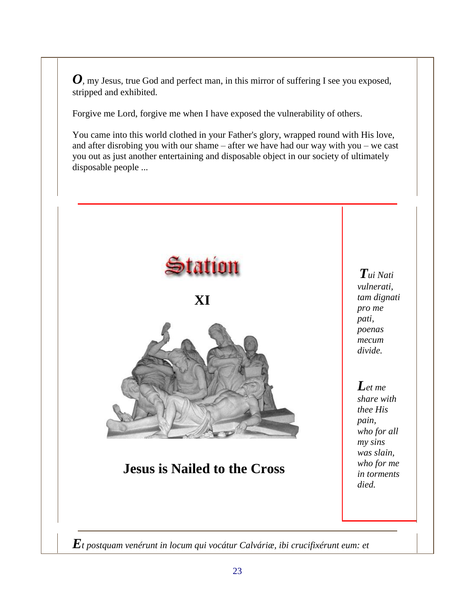*O*, my Jesus, true God and perfect man, in this mirror of suffering I see you exposed, stripped and exhibited.

Forgive me Lord, forgive me when I have exposed the vulnerability of others.

You came into this world clothed in your Father's glory, wrapped round with His love, and after disrobing you with our shame – after we have had our way with you – we cast you out as just another entertaining and disposable object in our society of ultimately disposable people ...

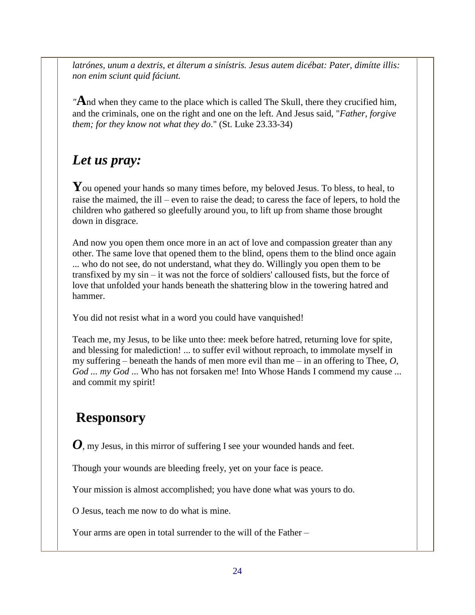*latrónes, unum a dextris, et álterum a sinístris. Jesus autem dicébat: Pater, dimítte illis: non enim sciunt quid fáciunt.* 

*"***A**nd when they came to the place which is called The Skull, there they crucified him, and the criminals, one on the right and one on the left. And Jesus said, "*Father, forgive them; for they know not what they do*." (St. Luke 23.33-34)

### *Let us pray:*

You opened your hands so many times before, my beloved Jesus. To bless, to heal, to raise the maimed, the ill – even to raise the dead; to caress the face of lepers, to hold the children who gathered so gleefully around you, to lift up from shame those brought down in disgrace.

And now you open them once more in an act of love and compassion greater than any other. The same love that opened them to the blind, opens them to the blind once again ... who do not see, do not understand, what they do. Willingly you open them to be transfixed by my sin – it was not the force of soldiers' calloused fists, but the force of love that unfolded your hands beneath the shattering blow in the towering hatred and hammer.

You did not resist what in a word you could have vanquished!

Teach me, my Jesus, to be like unto thee: meek before hatred, returning love for spite, and blessing for malediction! ... to suffer evil without reproach, to immolate myself in my suffering – beneath the hands of men more evil than me – in an offering to Thee, *O, God ... my God* ... Who has not forsaken me! Into Whose Hands I commend my cause ... and commit my spirit!

### **Responsory**

*O*, my Jesus, in this mirror of suffering I see your wounded hands and feet.

Though your wounds are bleeding freely, yet on your face is peace.

Your mission is almost accomplished; you have done what was yours to do.

O Jesus, teach me now to do what is mine.

Your arms are open in total surrender to the will of the Father –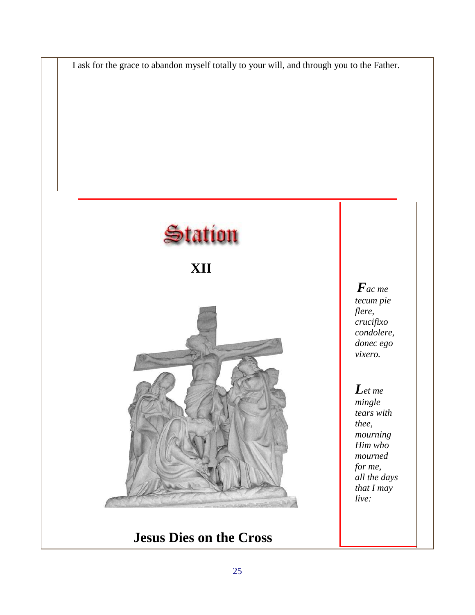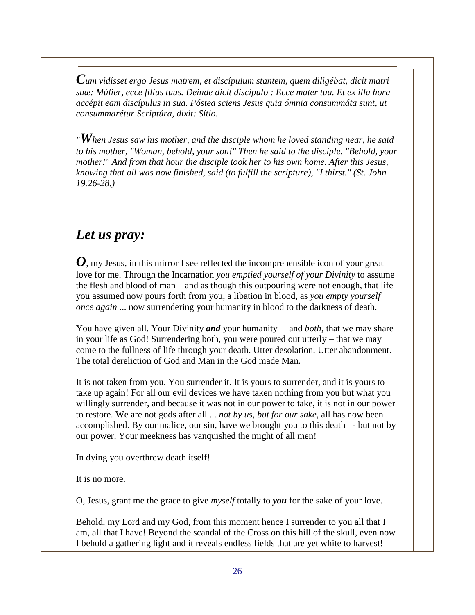*Cum vidísset ergo Jesus matrem, et discípulum stantem, quem diligébat, dicit matri suæ: Múlier, ecce fílius tuus. Deínde dicit discípulo : Ecce mater tua. Et ex illa hora accépit eam discípulus in sua. Póstea sciens Jesus quia ómnia consummáta sunt, ut consummarétur Scriptúra, dixit: Sítio.*

*"When Jesus saw his mother, and the disciple whom he loved standing near, he said to his mother, "Woman, behold, your son!" Then he said to the disciple, "Behold, your mother!" And from that hour the disciple took her to his own home. After this Jesus, knowing that all was now finished, said (to fulfill the scripture), "I thirst." (St. John 19.26-28.)*

#### *Let us pray:*

*O*, my Jesus, in this mirror I see reflected the incomprehensible icon of your great love for me. Through the Incarnation *you emptied yourself of your Divinity* to assume the flesh and blood of man – and as though this outpouring were not enough, that life you assumed now pours forth from you, a libation in blood, as *you empty yourself once again* ... now surrendering your humanity in blood to the darkness of death.

You have given all. Your Divinity *and* your humanity – and *both*, that we may share in your life as God! Surrendering both, you were poured out utterly – that we may come to the fullness of life through your death. Utter desolation. Utter abandonment. The total dereliction of God and Man in the God made Man.

It is not taken from you. You surrender it. It is yours to surrender, and it is yours to take up again! For all our evil devices we have taken nothing from you but what you willingly surrender, and because it was not in our power to take, it is not in our power to restore. We are not gods after all ... *not by us, but for our sake*, all has now been accomplished. By our malice, our sin, have we brought you to this death –- but not by our power. Your meekness has vanquished the might of all men!

In dying you overthrew death itself!

It is no more.

O, Jesus, grant me the grace to give *myself* totally to *you* for the sake of your love.

Behold, my Lord and my God, from this moment hence I surrender to you all that I am, all that I have! Beyond the scandal of the Cross on this hill of the skull, even now I behold a gathering light and it reveals endless fields that are yet white to harvest!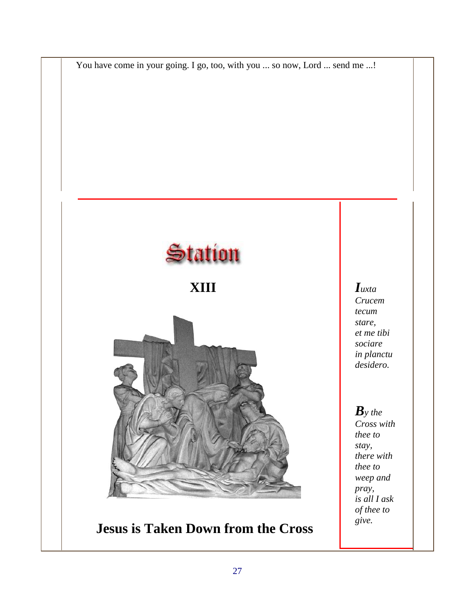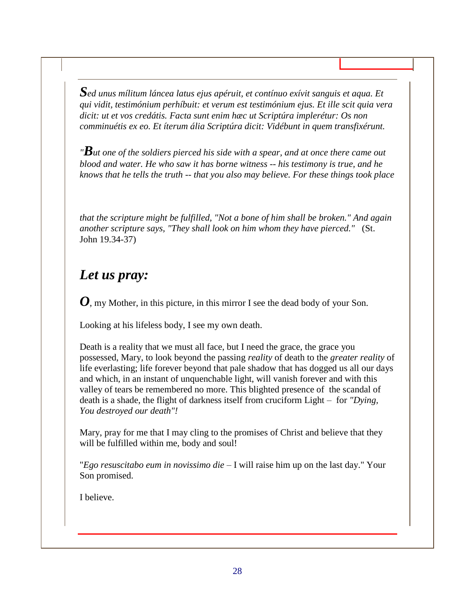*Sed unus mílitum láncea latus ejus apéruit, et contínuo exívit sanguis et aqua. Et qui vidit, testimónium perhíbuit: et verum est testimónium ejus. Et ille scit quia vera dicit: ut et vos credátis. Facta sunt enim hæc ut Scriptúra implerétur: Os non comminuétis ex eo. Et íterum ália Scriptúra dicit: Vidébunt in quem transfixérunt.*

*"But one of the soldiers pierced his side with a spear, and at once there came out blood and water. He who saw it has borne witness -- his testimony is true, and he knows that he tells the truth -- that you also may believe. For these things took place* 

*that the scripture might be fulfilled, "Not a bone of him shall be broken." And again another scripture says, "They shall look on him whom they have pierced."* (St. John 19.34-37)

#### *Let us pray:*

*O*, my Mother, in this picture, in this mirror I see the dead body of your Son.

Looking at his lifeless body, I see my own death.

Death is a reality that we must all face, but I need the grace, the grace you possessed, Mary, to look beyond the passing *reality* of death to the *greater reality* of life everlasting; life forever beyond that pale shadow that has dogged us all our days and which, in an instant of unquenchable light, will vanish forever and with this valley of tears be remembered no more. This blighted presence of the scandal of death is a shade, the flight of darkness itself from cruciform Light – for *"Dying, You destroyed our death"!* 

Mary, pray for me that I may cling to the promises of Christ and believe that they will be fulfilled within me, body and soul!

"*Ego resuscitabo eum in novissimo die* – I will raise him up on the last day." Your Son promised.

I believe.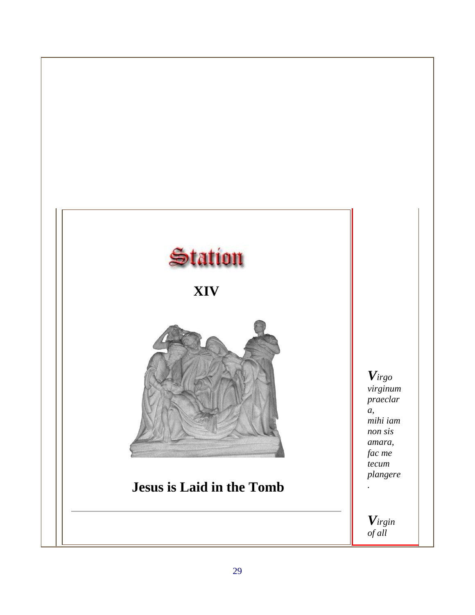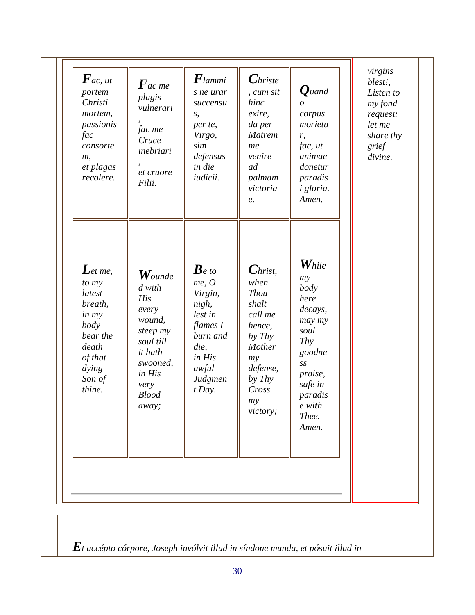| $\boldsymbol{F}$ ac, ut<br>portem<br>Christi<br>mortem,<br>passionis<br>fac<br>consorte<br>m,<br>et plagas<br>recolere.        | $\boldsymbol{F}$ ac me<br>plagis<br>vulnerari<br>fac me<br>Cruce<br>inebriari<br>et cruore<br>Filii.                                                         | $\boldsymbol{F}$ lammi<br>s ne urar<br>succensu<br>S,<br>per te,<br>Virgo,<br>sim<br>defensus<br>in die<br>iudicii.           | $\boldsymbol{C}$ hriste<br>, cum sit<br>hinc<br>exire,<br>da per<br><b>Matrem</b><br>me<br>venire<br>ad<br>palmam<br>victoria<br>e.                     | $\boldsymbol{Q}$ uand<br>$\Omega$<br>corpus<br>morietu<br>r,<br>fac, ut<br>animae<br>donetur<br>paradis<br>i gloria.<br>Amen.                                  | virgins<br>blest!,<br>Listen to<br>my fond<br>request:<br>let me<br>share thy<br>grief<br>divine. |
|--------------------------------------------------------------------------------------------------------------------------------|--------------------------------------------------------------------------------------------------------------------------------------------------------------|-------------------------------------------------------------------------------------------------------------------------------|---------------------------------------------------------------------------------------------------------------------------------------------------------|----------------------------------------------------------------------------------------------------------------------------------------------------------------|---------------------------------------------------------------------------------------------------|
| $\mathbf L$ et me,<br>to my<br>latest<br>breath,<br>in my<br>body<br>bear the<br>death<br>of that<br>dying<br>Son of<br>thine. | $\boldsymbol{W}$ ounde<br>d with<br>His<br>every<br>wound,<br>steep my<br>soul till<br><i>it</i> hath<br>swooned,<br>in His<br>very<br><b>Blood</b><br>away; | $\bm{B}$ e to<br>me, O<br>Virgin,<br>nigh,<br>lest in<br>flames I<br>burn and<br>die,<br>in His<br>awful<br>Judgmen<br>t Day. | $\boldsymbol{C}$ hrist,<br>when<br><b>Thou</b><br>shalt<br>call me<br>hence,<br>by Thy<br>Mother<br>my<br>defense,<br>by Thy<br>Cross<br>my<br>victory; | $\boldsymbol{W}_{hile}$<br>my<br>body<br>here<br>decays,<br>may my<br>soul<br>Thy<br>goodne<br>SS<br>praise,<br>safe in<br>paradis<br>e with<br>Thee.<br>Amen. |                                                                                                   |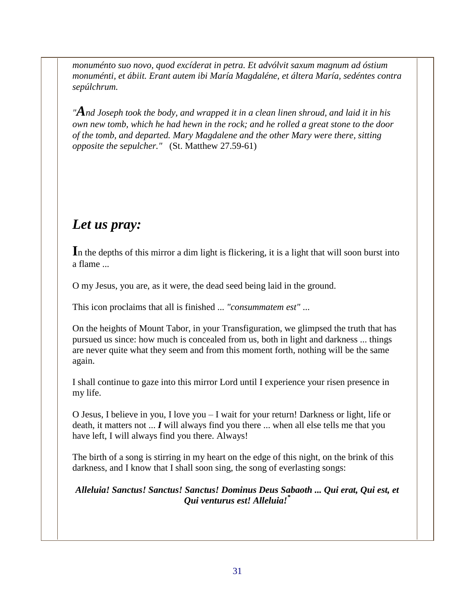*monuménto suo novo, quod excíderat in petra. Et advólvit saxum magnum ad óstium monuménti, et ábiit. Erant autem ibi María Magdaléne, et áltera María, sedéntes contra sepúlchrum.*

*"And Joseph took the body, and wrapped it in a clean linen shroud, and laid it in his own new tomb, which he had hewn in the rock; and he rolled a great stone to the door of the tomb, and departed. Mary Magdalene and the other Mary were there, sitting opposite the sepulcher."* (St. Matthew 27.59-61)

### *Let us pray:*

In the depths of this mirror a dim light is flickering, it is a light that will soon burst into a flame ...

O my Jesus, you are, as it were, the dead seed being laid in the ground.

This icon proclaims that all is finished ... *"consummatem est"* ...

On the heights of Mount Tabor, in your Transfiguration, we glimpsed the truth that has pursued us since: how much is concealed from us, both in light and darkness ... things are never quite what they seem and from this moment forth, nothing will be the same again.

I shall continue to gaze into this mirror Lord until I experience your risen presence in my life.

O Jesus, I believe in you, I love you – I wait for your return! Darkness or light, life or death, it matters not ... *I* will always find you there ... when all else tells me that you have left, I will always find you there. Always!

The birth of a song is stirring in my heart on the edge of this night, on the brink of this darkness, and I know that I shall soon sing, the song of everlasting songs:

*Alleluia! Sanctus! Sanctus! Sanctus! Dominus Deus Sabaoth ... Qui erat, Qui est, et Qui venturus est! Alleluia!\**